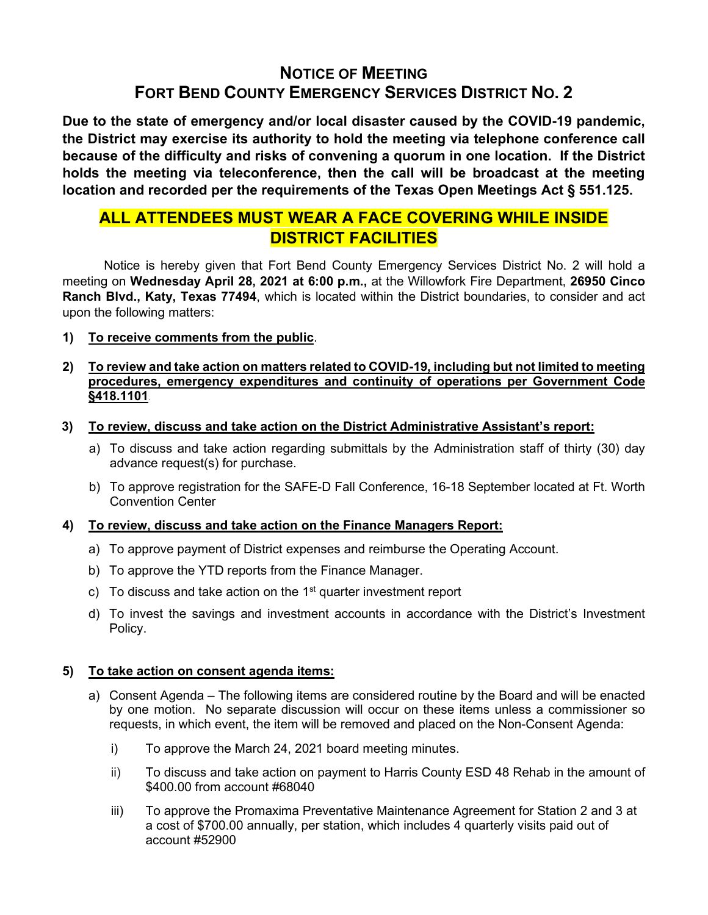# **NOTICE OF MEETING FORT BEND COUNTY EMERGENCY SERVICES DISTRICT NO. 2**

**Due to the state of emergency and/or local disaster caused by the COVID-19 pandemic, the District may exercise its authority to hold the meeting via telephone conference call because of the difficulty and risks of convening a quorum in one location. If the District holds the meeting via teleconference, then the call will be broadcast at the meeting location and recorded per the requirements of the Texas Open Meetings Act § 551.125.**

# **ALL ATTENDEES MUST WEAR A FACE COVERING WHILE INSIDE DISTRICT FACILITIES**

Notice is hereby given that Fort Bend County Emergency Services District No. 2 will hold a meeting on **Wednesday April 28, 2021 at 6:00 p.m.,** at the Willowfork Fire Department, **26950 Cinco Ranch Blvd., Katy, Texas 77494**, which is located within the District boundaries, to consider and act upon the following matters:

**1) To receive comments from the public**.

# **2) To review and take action on matters related to COVID-19, including but not limited to meeting procedures, emergency expenditures and continuity of operations per Government Code §418.1101**.

- **3) To review, discuss and take action on the District Administrative Assistant's report:**
	- a) To discuss and take action regarding submittals by the Administration staff of thirty (30) day advance request(s) for purchase.
	- b) To approve registration for the SAFE-D Fall Conference, 16-18 September located at Ft. Worth Convention Center

# **4) To review, discuss and take action on the Finance Managers Report:**

- a) To approve payment of District expenses and reimburse the Operating Account.
- b) To approve the YTD reports from the Finance Manager.
- c) To discuss and take action on the  $1<sup>st</sup>$  quarter investment report
- d) To invest the savings and investment accounts in accordance with the District's Investment Policy.

# **5) To take action on consent agenda items:**

- a) Consent Agenda The following items are considered routine by the Board and will be enacted by one motion. No separate discussion will occur on these items unless a commissioner so requests, in which event, the item will be removed and placed on the Non-Consent Agenda:
	- i) To approve the March 24, 2021 board meeting minutes.
	- ii) To discuss and take action on payment to Harris County ESD 48 Rehab in the amount of \$400.00 from account #68040
	- iii) To approve the Promaxima Preventative Maintenance Agreement for Station 2 and 3 at a cost of \$700.00 annually, per station, which includes 4 quarterly visits paid out of account #52900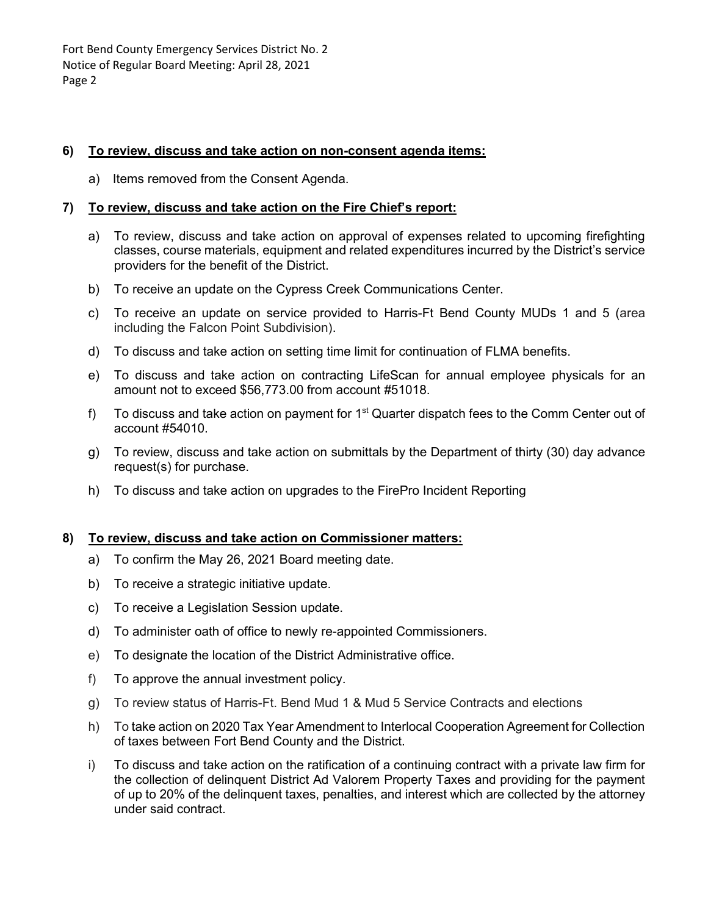Fort Bend County Emergency Services District No. 2 Notice of Regular Board Meeting: April 28, 2021 Page 2

### **6) To review, discuss and take action on non-consent agenda items:**

a) Items removed from the Consent Agenda.

### **7) To review, discuss and take action on the Fire Chief's report:**

- a) To review, discuss and take action on approval of expenses related to upcoming firefighting classes, course materials, equipment and related expenditures incurred by the District's service providers for the benefit of the District.
- b) To receive an update on the Cypress Creek Communications Center.
- c) To receive an update on service provided to Harris-Ft Bend County MUDs 1 and 5 (area including the Falcon Point Subdivision).
- d) To discuss and take action on setting time limit for continuation of FLMA benefits.
- e) To discuss and take action on contracting LifeScan for annual employee physicals for an amount not to exceed \$56,773.00 from account #51018.
- f) To discuss and take action on payment for  $1<sup>st</sup>$  Quarter dispatch fees to the Comm Center out of account #54010.
- g) To review, discuss and take action on submittals by the Department of thirty (30) day advance request(s) for purchase.
- h) To discuss and take action on upgrades to the FirePro Incident Reporting

# **8) To review, discuss and take action on Commissioner matters:**

- a) To confirm the May 26, 2021 Board meeting date.
- b) To receive a strategic initiative update.
- c) To receive a Legislation Session update.
- d) To administer oath of office to newly re-appointed Commissioners.
- e) To designate the location of the District Administrative office.
- f) To approve the annual investment policy.
- g) To review status of Harris-Ft. Bend Mud 1 & Mud 5 Service Contracts and elections
- h) To take action on 2020 Tax Year Amendment to Interlocal Cooperation Agreement for Collection of taxes between Fort Bend County and the District.
- i) To discuss and take action on the ratification of a continuing contract with a private law firm for the collection of delinquent District Ad Valorem Property Taxes and providing for the payment of up to 20% of the delinquent taxes, penalties, and interest which are collected by the attorney under said contract.